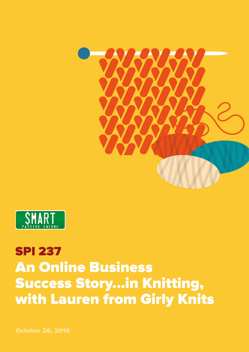



## SPI 237 An Online Business Success Story...in Knitting, with Lauren from Girly Knits

October 26, 2016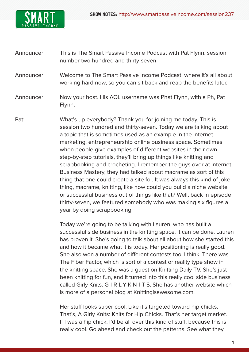

- Announcer: This is The Smart Passive Income Podcast with Pat Flynn, session number two hundred and thirty-seven.
- Announcer: Welcome to The Smart Passive Income Podcast, where it's all about working hard now, so you can sit back and reap the benefits later.
- Announcer: Now your host. His AOL username was Phat Flynn, with a Ph, Pat Flynn.
- Pat: What's up everybody? Thank you for joining me today. This is session two hundred and thirty-seven. Today we are talking about a topic that is sometimes used as an example in the internet marketing, entrepreneurship online business space. Sometimes when people give examples of different websites in their own step-by-step tutorials, they'll bring up things like knitting and scrapbooking and crocheting. I remember the guys over at Internet Business Mastery, they had talked about macrame as sort of this thing that one could create a site for. It was always this kind of joke thing, macrame, knitting, like how could you build a niche website or successful business out of things like that? Well, back in episode thirty-seven, we featured somebody who was making six figures a year by doing scrapbooking.

Today we're going to be talking with Lauren, who has built a successful side business in the knitting space. It can be done. Lauren has proven it. She's going to talk about all about how she started this and how it became what it is today. Her positioning is really good. She also won a number of different contests too, I think. There was The Fiber Factor, which is sort of a contest or reality type show in the knitting space. She was a guest on Knitting Daily TV. She's just been knitting for fun, and it turned into this really cool side business called Girly Knits. G-I-R-L-Y K-N-I-T-S. She has another website which is more of a personal blog at Knittingisawesome.com.

Her stuff looks super cool. Like it's targeted toward hip chicks. That's, A Girly Knits: Knits for Hip Chicks. That's her target market. If I was a hip chick, I'd be all over this kind of stuff, because this is really cool. Go ahead and check out the patterns. See what they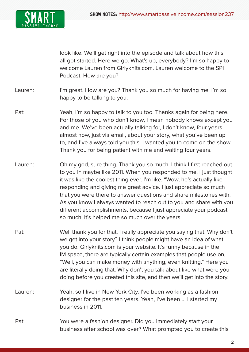

look like. We'll get right into the episode and talk about how this all got started. Here we go. What's up, everybody? I'm so happy to welcome Lauren from Girlyknits.com. Lauren welcome to the SPI Podcast. How are you?

Lauren: I'm great. How are you? Thank you so much for having me. I'm so happy to be talking to you.

- Pat: Yeah, I'm so happy to talk to you too. Thanks again for being here. For those of you who don't know, I mean nobody knows except you and me. We've been actually talking for, I don't know, four years almost now, just via email, about your story, what you've been up to, and I've always told you this. I wanted you to come on the show. Thank you for being patient with me and waiting four years.
- Lauren: Oh my god, sure thing. Thank you so much. I think I first reached out to you in maybe like 2011. When you responded to me, I just thought it was like the coolest thing ever. I'm like, "Wow, he's actually like responding and giving me great advice. I just appreciate so much that you were there to answer questions and share milestones with. As you know I always wanted to reach out to you and share with you different accomplishments, because I just appreciate your podcast so much. It's helped me so much over the years.
- Pat: Well thank you for that. I really appreciate you saying that. Why don't we get into your story? I think people might have an idea of what you do. Girlyknits.com is your website. It's funny because in the IM space, there are typically certain examples that people use on, "Well, you can make money with anything, even knitting." Here you are literally doing that. Why don't you talk about like what were you doing before you created this site, and then we'll get into the story.
- Lauren: Yeah, so I live in New York City. I've been working as a fashion designer for the past ten years. Yeah, I've been ... I started my business in 2011.
- Pat: You were a fashion designer. Did you immediately start your business after school was over? What prompted you to create this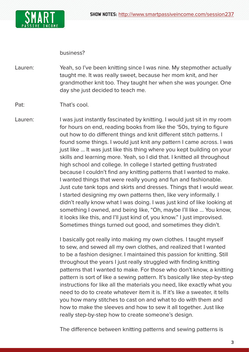

## business?

Lauren: Yeah, so I've been knitting since I was nine. My stepmother actually taught me. It was really sweet, because her mom knit, and her grandmother knit too. They taught her when she was younger. One day she just decided to teach me.

## Pat: That's cool.

Lauren: I was just instantly fascinated by knitting. I would just sit in my room for hours on end, reading books from like the '50s, trying to figure out how to do different things and knit different stitch patterns. I found some things. I would just knit any pattern I came across. I was just like ... It was just like this thing where you kept building on your skills and learning more. Yeah, so I did that. I knitted all throughout high school and college. In college I started getting frustrated because I couldn't find any knitting patterns that I wanted to make. I wanted things that were really young and fun and fashionable. Just cute tank tops and skirts and dresses. Things that I would wear. I started designing my own patterns then, like very informally. I didn't really know what I was doing. I was just kind of like looking at something I owned, and being like, "Oh, maybe I'll like ... You know, it looks like this, and I'll just kind of, you know." I just improvised. Sometimes things turned out good, and sometimes they didn't.

> I basically got really into making my own clothes. I taught myself to sew, and sewed all my own clothes, and realized that I wanted to be a fashion designer. I maintained this passion for knitting. Still throughout the years I just really struggled with finding knitting patterns that I wanted to make. For those who don't know, a knitting pattern is sort of like a sewing pattern. It's basically like step-by-step instructions for like all the materials you need, like exactly what you need to do to create whatever item it is. If it's like a sweater, it tells you how many stitches to cast on and what to do with them and how to make the sleeves and how to sew it all together. Just like really step-by-step how to create someone's design.

The difference between knitting patterns and sewing patterns is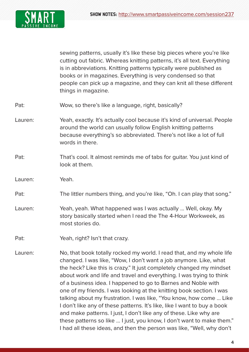

sewing patterns, usually it's like these big pieces where you're like cutting out fabric. Whereas knitting patterns, it's all text. Everything is in abbreviations. Knitting patterns typically were published as books or in magazines. Everything is very condensed so that people can pick up a magazine, and they can knit all these different things in magazine.

- Pat: Wow, so there's like a language, right, basically?
- Lauren: Yeah, exactly. It's actually cool because it's kind of universal. People around the world can usually follow English knitting patterns because everything's so abbreviated. There's not like a lot of full words in there.
- Pat: That's cool. It almost reminds me of tabs for quitar. You just kind of look at them.
- Lauren: Yeah.
- Pat: The littler numbers thing, and you're like, "Oh. I can play that song."
- Lauren: Yeah, yeah. What happened was I was actually ... Well, okay. My story basically started when I read the The 4-Hour Workweek, as most stories do.
- Pat: Yeah, right? Isn't that crazy.
- Lauren: No, that book totally rocked my world. I read that, and my whole life changed. I was like, "Wow, I don't want a job anymore. Like, what the heck? Like this is crazy." It just completely changed my mindset about work and life and travel and everything. I was trying to think of a business idea. I happened to go to Barnes and Noble with one of my friends. I was looking at the knitting book section. I was talking about my frustration. I was like, "You know, how come ... Like I don't like any of these patterns. It's like, like I want to buy a book and make patterns. I just, I don't like any of these. Like why are these patterns so like ... I just, you know, I don't want to make them." I had all these ideas, and then the person was like, "Well, why don't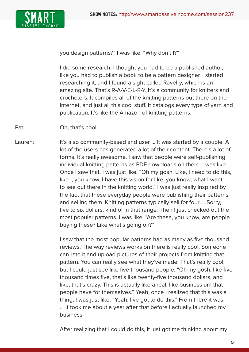

you design patterns?" I was like, "Why don't I?"

I did some research. I thought you had to be a published author, like you had to publish a book to be a pattern designer. I started researching it, and I found a sight called Ravelry, which is an amazing site. That's R-A-V-E-L-R-Y. It's a community for knitters and crocheters. It compiles all of the knitting patterns out there on the internet, and just all this cool stuff. It catalogs every type of yarn and publication. It's like the Amazon of knitting patterns.

Pat: Oh, that's cool.

Lauren: It's also community-based and user ... It was started by a couple. A lot of the users has generated a lot of their content. There's a lot of forms. It's really awesome. I saw that people were self-publishing individual knitting patterns as PDF downloads on there. I was like ... Once I saw that, I was just like, "Oh my gosh. Like, I need to do this, like I, you know, I have this vision for like, you know, what I want to see out there in the knitting world." I was just really inspired by the fact that these everyday people were publishing their patterns and selling them. Knitting patterns typically sell for four ... Sorry, five to six dollars, kind of in that range. Then I just checked out the most popular patterns. I was like, "Are these, you know, are people buying these? Like what's going on?"

> I saw that the most popular patterns had as many as five thousand reviews. The way reviews works on there is really cool. Someone can rate it and upload pictures of their projects from knitting that pattern. You can really see what they've made. That's really cool, but I could just see like five thousand people. "Oh my gosh, like five thousand times five, that's like twenty-five thousand dollars, and like, that's crazy. This is actually like a real, like business um that people have for themselves." Yeah, once I realized that this was a thing, I was just like, "Yeah, I've got to do this." From there it was ... It took me about a year after that before I actually launched my business.

After realizing that I could do this, it just got me thinking about my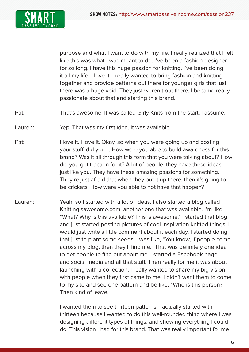

purpose and what I want to do with my life. I really realized that I felt like this was what I was meant to do. I've been a fashion designer for so long. I have this huge passion for knitting. I've been doing it all my life. I love it. I really wanted to bring fashion and knitting together and provide patterns out there for younger girls that just there was a huge void. They just weren't out there. I became really passionate about that and starting this brand.

Pat: That's awesome. It was called Girly Knits from the start, I assume.

Lauren: Yep. That was my first idea. It was available.

- Pat: I love it. I love it. Okay, so when you were going up and posting your stuff, did you ... How were you able to build awareness for this brand? Was it all through this form that you were talking about? How did you get traction for it? A lot of people, they have these ideas just like you. They have these amazing passions for something. They're just afraid that when they put it up there, then it's going to be crickets. How were you able to not have that happen?
- Lauren: Yeah, so I started with a lot of ideas. I also started a blog called Knittingisawesome.com, another one that was available. I'm like, "What? Why is this available? This is awesome." I started that blog and just started posting pictures of cool inspiration knitted things. I would just write a little comment about it each day. I started doing that just to plant some seeds. I was like, "You know, if people come across my blog, then they'll find me." That was definitely one idea to get people to find out about me. I started a Facebook page, and social media and all that stuff. Then really for me it was about launching with a collection. I really wanted to share my big vision with people when they first came to me. I didn't want them to come to my site and see one pattern and be like, "Who is this person?" Then kind of leave.

I wanted them to see thirteen patterns. I actually started with thirteen because I wanted to do this well-rounded thing where I was designing different types of things, and showing everything I could do. This vision I had for this brand. That was really important for me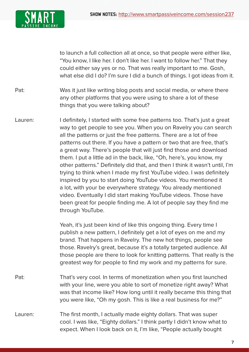

to launch a full collection all at once, so that people were either like, "You know, I like her. I don't like her. I want to follow her." That they could either say yes or no. That was really important to me. Gosh, what else did I do? I'm sure I did a bunch of things. I got ideas from it.

- Pat: Was it just like writing blog posts and social media, or where there any other platforms that you were using to share a lot of these things that you were talking about?
- Lauren: I definitely, I started with some free patterns too. That's just a great way to get people to see you. When you on Ravelry you can search all the patterns or just the free patterns. There are a lot of free patterns out there. If you have a pattern or two that are free, that's a great way. There's people that will just find those and download them. I put a little ad in the back, like, "Oh, here's, you know, my other patterns." Definitely did that, and then I think it wasn't until, I'm trying to think when I made my first YouTube video. I was definitely inspired by you to start doing YouTube videos. You mentioned it a lot, with your be everywhere strategy. You already mentioned video. Eventually I did start making YouTube videos. Those have been great for people finding me. A lot of people say they find me through YouTube.

Yeah, it's just been kind of like this ongoing thing. Every time I publish a new pattern, I definitely get a lot of eyes on me and my brand. That happens in Ravelry. The new hot things, people see those. Ravelry's great, because it's a totally targeted audience. All those people are there to look for knitting patterns. That really is the greatest way for people to find my work and my patterns for sure.

- Pat: That's very cool. In terms of monetization when you first launched with your line, were you able to sort of monetize right away? What was that income like? How long until it really became this thing that you were like, "Oh my gosh. This is like a real business for me?"
- Lauren: The first month, I actually made eighty dollars. That was super cool. I was like, "Eighty dollars." I think partly I didn't know what to expect. When I look back on it, I'm like, "People actually bought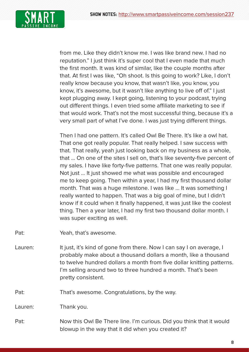

from me. Like they didn't know me. I was like brand new. I had no reputation." I just think it's super cool that I even made that much the first month. It was kind of similar, like the couple months after that. At first I was like, "Oh shoot. Is this going to work? Like, I don't really know because you know, that wasn't like, you know, you know, it's awesome, but it wasn't like anything to live off of." I just kept plugging away. I kept going, listening to your podcast, trying out different things. I even tried some affiliate marketing to see if that would work. That's not the most successful thing, because it's a very small part of what I've done. I was just trying different things.

Then I had one pattern. It's called Owl Be There. It's like a owl hat. That one got really popular. That really helped. I saw success with that. That really, yeah just looking back on my business as a whole, that ... On one of the sites I sell on, that's like seventy-five percent of my sales. I have like forty-five patterns. That one was really popular. Not just ... It just showed me what was possible and encouraged me to keep going. Then within a year, I had my first thousand dollar month. That was a huge milestone. I was like ... It was something I really wanted to happen. That was a big goal of mine, but I didn't know if it could when it finally happened, it was just like the coolest thing. Then a year later, I had my first two thousand dollar month. I was super exciting as well.

Pat: Yeah, that's awesome.

Lauren: It just, it's kind of gone from there. Now I can say I on average, I probably make about a thousand dollars a month, like a thousand to twelve hundred dollars a month from five dollar knitting patterns. I'm selling around two to three hundred a month. That's been pretty consistent.

Pat: That's awesome. Congratulations, by the way.

Lauren: Thank you.

Pat: Now this Owl Be There line. I'm curious. Did you think that it would blowup in the way that it did when you created it?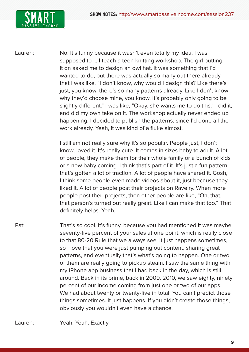

Lauren: No. It's funny because it wasn't even totally my idea. I was supposed to ... I teach a teen knitting workshop. The girl putting it on asked me to design an owl hat. It was something that I'd wanted to do, but there was actually so many out there already that I was like, "I don't know, why would I design this? Like there's just, you know, there's so many patterns already. Like I don't know why they'd choose mine, you know. It's probably only going to be slightly different." I was like, "Okay, she wants me to do this." I did it, and did my own take on it. The workshop actually never ended up happening. I decided to publish the patterns, since I'd done all the work already. Yeah, it was kind of a fluke almost.

> I still am not really sure why it's so popular. People just, I don't know, loved it. It's really cute. It comes in sizes baby to adult. A lot of people, they make them for their whole family or a bunch of kids or a new baby coming. I think that's part of it. It's just a fun pattern that's gotten a lot of traction. A lot of people have shared it. Gosh, I think some people even made videos about it, just because they liked it. A lot of people post their projects on Ravelry. When more people post their projects, then other people are like, "Oh, that, that person's turned out really great. Like I can make that too." That definitely helps. Yeah.

Pat: That's so cool. It's funny, because you had mentioned it was maybe seventy-five percent of your sales at one point, which is really close to that 80-20 Rule that we always see. It just happens sometimes, so I love that you were just pumping out content, sharing great patterns, and eventually that's what's going to happen. One or two of them are really going to pickup steam. I saw the same thing with my iPhone app business that I had back in the day, which is still around. Back in its prime, back in 2009, 2010, we saw eighty, ninety percent of our income coming from just one or two of our apps. We had about twenty or twenty-five in total. You can't predict those things sometimes. It just happens. If you didn't create those things, obviously you wouldn't even have a chance.

Lauren: Yeah. Yeah. Exactly.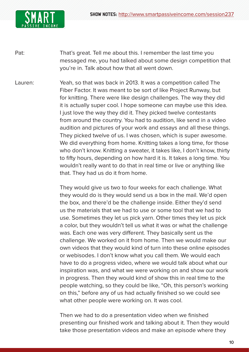

Pat: That's great. Tell me about this. I remember the last time you messaged me, you had talked about some design competition that you're in. Talk about how that all went down.

Lauren: Yeah, so that was back in 2013. It was a competition called The Fiber Factor. It was meant to be sort of like Project Runway, but for knitting. There were like design challenges. The way they did it is actually super cool. I hope someone can maybe use this idea. I just love the way they did it. They picked twelve contestants from around the country. You had to audition, like send in a video audition and pictures of your work and essays and all these things. They picked twelve of us. I was chosen, which is super awesome. We did everything from home. Knitting takes a long time, for those who don't know. Knitting a sweater, it takes like, I don't know, thirty to fifty hours, depending on how hard it is. It takes a long time. You wouldn't really want to do that in real time or live or anything like that. They had us do it from home.

> They would give us two to four weeks for each challenge. What they would do is they would send us a box in the mail. We'd open the box, and there'd be the challenge inside. Either they'd send us the materials that we had to use or some tool that we had to use. Sometimes they let us pick yarn. Other times they let us pick a color, but they wouldn't tell us what it was or what the challenge was. Each one was very different. They basically sent us the challenge. We worked on it from home. Then we would make our own videos that they would kind of turn into these online episodes or webisodes. I don't know what you call them. We would each have to do a progress video, where we would talk about what our inspiration was, and what we were working on and show our work in progress. Then they would kind of show this in real time to the people watching, so they could be like, "Oh, this person's working on this," before any of us had actually finished so we could see what other people were working on. It was cool.

> Then we had to do a presentation video when we finished presenting our finished work and talking about it. Then they would take those presentation videos and make an episode where they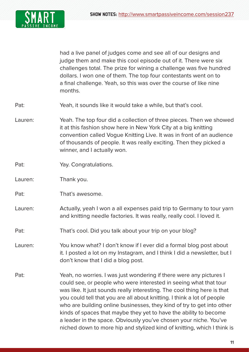

had a live panel of judges come and see all of our designs and judge them and make this cool episode out of it. There were six challenges total. The prize for wining a challenge was five hundred dollars. I won one of them. The top four contestants went on to a final challenge. Yeah, so this was over the course of like nine months.

- Pat: Yeah, it sounds like it would take a while, but that's cool.
- Lauren: Yeah. The top four did a collection of three pieces. Then we showed it at this fashion show here in New York City at a big knitting convention called Vogue Knitting Live. It was in front of an audience of thousands of people. It was really exciting. Then they picked a winner, and I actually won.
- Pat: Yay. Congratulations.
- Lauren: Thank you.
- Pat: That's awesome.
- Lauren: Actually, yeah I won a all expenses paid trip to Germany to tour yarn and knitting needle factories. It was really, really cool. I loved it.
- Pat: That's cool. Did you talk about your trip on your blog?
- Lauren: You know what? I don't know if I ever did a formal blog post about it. I posted a lot on my Instagram, and I think I did a newsletter, but I don't know that I did a blog post.
- Pat: Yeah, no worries. I was just wondering if there were any pictures I could see, or people who were interested in seeing what that tour was like. It just sounds really interesting. The cool thing here is that you could tell that you are all about knitting. I think a lot of people who are building online businesses, they kind of try to get into other kinds of spaces that maybe they yet to have the ability to become a leader in the space. Obviously you've chosen your niche. You've niched down to more hip and stylized kind of knitting, which I think is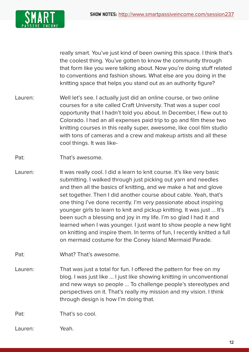

really smart. You've just kind of been owning this space. I think that's the coolest thing. You've gotten to know the community through that form like you were talking about. Now you're doing stuff related to conventions and fashion shows. What else are you doing in the knitting space that helps you stand out as an authority figure?

- Lauren: Well let's see. I actually just did an online course, or two online courses for a site called Craft University. That was a super cool opportunity that I hadn't told you about. In December, I flew out to Colorado. I had an all expenses paid trip to go and film these two knitting courses in this really super, awesome, like cool film studio with tons of cameras and a crew and makeup artists and all these cool things. It was like-
- Pat: That's awesome.
- Lauren: It was really cool. I did a learn to knit course. It's like very basic submitting. I walked through just picking out yarn and needles and then all the basics of knitting, and we make a hat and glove set together. Then I did another course about cable. Yeah, that's one thing I've done recently. I'm very passionate about inspiring younger girls to learn to knit and pickup knitting. It was just ... It's been such a blessing and joy in my life. I'm so glad I had it and learned when I was younger. I just want to show people a new light on knitting and inspire them. In terms of fun, I recently knitted a full on mermaid costume for the Coney Island Mermaid Parade.
- Pat: What? That's awesome.
- Lauren: That was just a total for fun. I offered the pattern for free on my blog. I was just like ... I just like showing knitting in unconventional and new ways so people ... To challenge people's stereotypes and perspectives on it. That's really my mission and my vision. I think through design is how I'm doing that.

Pat: That's so cool.

Lauren: Yeah.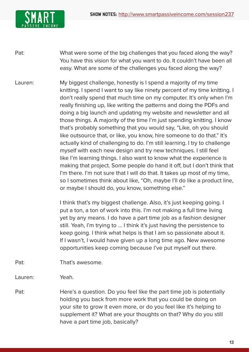

- Pat: What were some of the big challenges that you faced along the way? You have this vision for what you want to do. It couldn't have been all easy. What are some of the challenges you faced along the way?
- Lauren: My biggest challenge, honestly is I spend a majority of my time knitting. I spend I want to say like ninety percent of my time knitting. I don't really spend that much time on my computer. It's only when I'm really finishing up, like writing the patterns and doing the PDFs and doing a big launch and updating my website and newsletter and all those things. A majority of the time I'm just spending knitting. I know that's probably something that you would say, "Like, oh you should like outsource that, or like, you know, hire someone to do that." It's actually kind of challenging to do. I'm still learning. I try to challenge myself with each new design and try new techniques. I still feel like I'm learning things. I also want to know what the experience is making that project. Some people do hand it off, but I don't think that I'm there. I'm not sure that I will do that. It takes up most of my time, so I sometimes think about like, "Oh, maybe I'll do like a product line, or maybe I should do, you know, something else."

I think that's my biggest challenge. Also, it's just keeping going. I put a ton, a ton of work into this. I'm not making a full time living yet by any means. I do have a part time job as a fashion designer still. Yeah, I'm trying to ... I think it's just having the persistence to keep going. I think what helps is that I am so passionate about it. If I wasn't, I would have given up a long time ago. New awesome opportunities keep coming because I've put myself out there.

Pat: That's awesome.

Lauren: Yeah.

Pat: Here's a question. Do you feel like the part time job is potentially holding you back from more work that you could be doing on your site to grow it even more, or do you feel like it's helping to supplement it? What are your thoughts on that? Why do you still have a part time job, basically?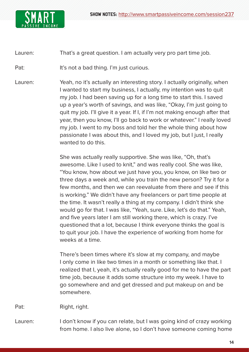

## Lauren: That's a great question. I am actually very pro part time job.

Pat: It's not a bad thing. I'm just curious.

Lauren: Yeah, no it's actually an interesting story. I actually originally, when I wanted to start my business, I actually, my intention was to quit my job. I had been saving up for a long time to start this. I saved up a year's worth of savings, and was like, "Okay, I'm just going to quit my job. I'll give it a year. If I, if I'm not making enough after that year, then you know, I'll go back to work or whatever." I really loved my job. I went to my boss and told her the whole thing about how passionate I was about this, and I loved my job, but I just, I really wanted to do this.

> She was actually really supportive. She was like, "Oh, that's awesome. Like I used to knit," and was really cool. She was like, "You know, how about we just have you, you know, on like two or three days a week and, while you train the new person? Try it for a few months, and then we can reevaluate from there and see if this is working." We didn't have any freelancers or part time people at the time. It wasn't really a thing at my company. I didn't think she would go for that. I was like, "Yeah, sure. Like, let's do that." Yeah, and five years later I am still working there, which is crazy. I've questioned that a lot, because I think everyone thinks the goal is to quit your job. I have the experience of working from home for weeks at a time.

There's been times where it's slow at my company, and maybe I only come in like two times in a month or something like that. I realized that I, yeah, it's actually really good for me to have the part time job, because it adds some structure into my week. I have to go somewhere and and get dressed and put makeup on and be somewhere.

Pat: Right, right.

Lauren: I don't know if you can relate, but I was going kind of crazy working from home. I also live alone, so I don't have someone coming home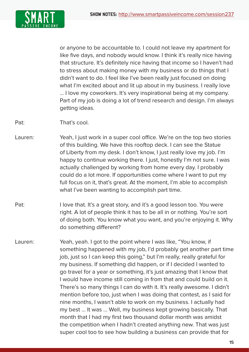

or anyone to be accountable to. I could not leave my apartment for like five days, and nobody would know. I think it's really nice having that structure. It's definitely nice having that income so I haven't had to stress about making money with my business or do things that I didn't want to do. I feel like I've been really just focused on doing what I'm excited about and lit up about in my business. I really love ... I love my coworkers. It's very inspirational being at my company. Part of my job is doing a lot of trend research and design. I'm always getting ideas.

- Pat: That's cool.
- Lauren: Yeah, I just work in a super cool office. We're on the top two stories of this building. We have this rooftop deck. I can see the Statue of Liberty from my desk. I don't know, I just really love my job. I'm happy to continue working there. I just, honestly I'm not sure. I was actually challenged by working from home every day. I probably could do a lot more. If opportunities come where I want to put my full focus on it, that's great. At the moment, I'm able to accomplish what I've been wanting to accomplish part time.
- Pat: I love that. It's a great story, and it's a good lesson too. You were right. A lot of people think it has to be all in or nothing. You're sort of doing both. You know what you want, and you're enjoying it. Why do something different?
- Lauren: Yeah, yeah. I got to the point where I was like, "You know, if something happened with my job, I'd probably get another part time job, just so I can keep this going," but I'm really, really grateful for my business. If something did happen, or if I decided I wanted to go travel for a year or something, it's just amazing that I know that I would have income still coming in from that and could build on it. There's so many things I can do with it. It's really awesome. I didn't mention before too, just when I was doing that contest, as I said for nine months, I wasn't able to work on my business. I actually had my best ... It was ... Well, my business kept growing basically. That month that I had my first two thousand dollar month was amidst the competition when I hadn't created anything new. That was just super cool too to see how building a business can provide that for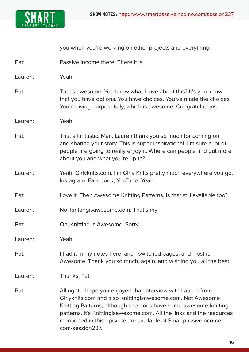

you when you're working on other projects and everything.

Pat: Passive income there. There it is.

Lauren: Yeah.

- Pat: That's awesome. You know what I love about this? It's you know that you have options. You have choices. You've made the choices. You're living purposefully, which is awesome. Congratulations.
- Lauren: Yeah.
- Pat: That's fantastic. Man, Lauren thank you so much for coming on and sharing your story. This is super inspirational. I'm sure a lot of people are going to really enjoy it. Where can people find out more about you and what you're up to?
- Lauren: Yeah. Girlyknits.com. I'm Girly Knits pretty much everywhere you go, Instagram, Facebook, YouTube. Yeah.
- Pat: Love it. Then Awesome Knitting Patterns, is that still available too?
- Lauren: No, knittingisawesome.com. That's my-
- Pat: Oh, Knitting is Awesome. Sorry.

Lauren: Yeah.

Pat: I had it in my notes here, and I switched pages, and I lost it. Awesome. Thank you so much, again, and wishing you all the best.

Lauren: Thanks, Pat.

Pat: All right, I hope you enjoyed that interview with Lauren from Girlyknits.com and also Knittingisawesome.com. Not Awesome Knitting Patterns, although she does have some awesome knitting patterns. It's Knittingisawesome.com. All the links and the resources mentioned in this episode are available at Smartpassiveincome. com/session237.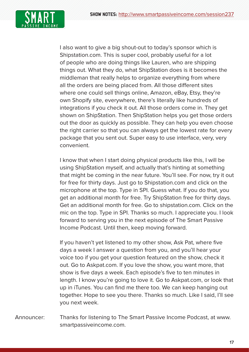

I also want to give a big shout-out to today's sponsor which is Shipstation.com. This is super cool, probably useful for a lot of people who are doing things like Lauren, who are shipping things out. What they do, what ShipStation does is it becomes the middleman that really helps to organize everything from where all the orders are being placed from. All those different sites where one could sell things online, Amazon, eBay, Etsy, they're own Shopify site, everywhere, there's literally like hundreds of integrations if you check it out. All those orders come in. They get shown on ShipStation. Then ShipStation helps you get those orders out the door as quickly as possible. They can help you even choose the right carrier so that you can always get the lowest rate for every package that you sent out. Super easy to use interface, very, very convenient.

I know that when I start doing physical products like this, I will be using ShipStation myself, and actually that's hinting at something that might be coming in the near future. You'll see. For now, try it out for free for thirty days. Just go to Shipstation.com and click on the microphone at the top. Type in SPI. Guess what. If you do that, you get an additional month for free. Try ShipStation free for thirty days. Get an additional month for free. Go to shipstation.com. Click on the mic on the top. Type in SPI. Thanks so much. I appreciate you. I look forward to serving you in the next episode of The Smart Passive Income Podcast. Until then, keep moving forward.

If you haven't yet listened to my other show, Ask Pat, where five days a week I answer a question from you, and you'll hear your voice too if you get your question featured on the show, check it out. Go to Askpat.com. If you love the show, you want more, that show is five days a week. Each episode's five to ten minutes in length. I know you're going to love it. Go to Askpat.com, or look that up in iTunes. You can find me there too. We can keep hanging out together. Hope to see you there. Thanks so much. Like I said, I'll see you next week.

Announcer: Thanks for listening to The Smart Passive Income Podcast, at www. smartpassiveincome.com.